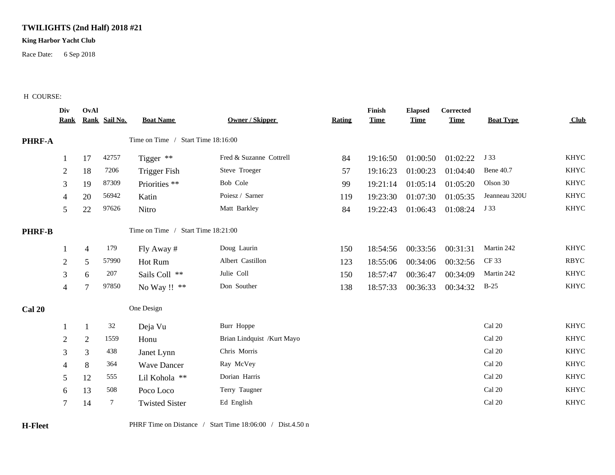## **TWILIGHTS (2nd Half) 2018 #21**

## **King Harbor Yacht Club**

Race Date: 6 Sep 2018

## H COURSE:

|               | Div<br><u>Rank</u>                 | OvAl           | Rank Sail No. | <b>Boat Name</b>                   | Owner / Skipper            | Rating | Finish<br><b>Time</b> | <b>Elapsed</b><br><b>Time</b> | <b>Corrected</b><br><b>Time</b> | <b>Boat Type</b> | Club        |
|---------------|------------------------------------|----------------|---------------|------------------------------------|----------------------------|--------|-----------------------|-------------------------------|---------------------------------|------------------|-------------|
| PHRF-A        | Time on Time / Start Time 18:16:00 |                |               |                                    |                            |        |                       |                               |                                 |                  |             |
|               |                                    | 17             | 42757         | Tigger **                          | Fred & Suzanne Cottrell    | 84     | 19:16:50              | 01:00:50                      | 01:02:22                        | J 33             | <b>KHYC</b> |
|               | $\overline{2}$                     | 18             | 7206          | <b>Trigger Fish</b>                | Steve Troeger              | 57     | 19:16:23              | 01:00:23                      | 01:04:40                        | <b>Bene 40.7</b> | <b>KHYC</b> |
|               | 3                                  | 19             | 87309         | Priorities **                      | Bob Cole                   | 99     | 19:21:14              | 01:05:14                      | 01:05:20                        | Olson 30         | <b>KHYC</b> |
|               | 4                                  | 20             | 56942         | Katin                              | Poiesz / Sarner            | 119    | 19:23:30              | 01:07:30                      | 01:05:35                        | Jeanneau 320U    | <b>KHYC</b> |
|               | 5                                  | $22\,$         | 97626         | Nitro                              | Matt Barkley               | 84     | 19:22:43              | 01:06:43                      | 01:08:24                        | J 33             | <b>KHYC</b> |
| <b>PHRF-B</b> |                                    |                |               | Time on Time / Start Time 18:21:00 |                            |        |                       |                               |                                 |                  |             |
|               |                                    | $\overline{4}$ | 179           | Fly Away #                         | Doug Laurin                | 150    | 18:54:56              | 00:33:56                      | 00:31:31                        | Martin 242       | <b>KHYC</b> |
|               | $\mathfrak{2}$                     | 5              | 57990         | Hot Rum                            | Albert Castillon           | 123    | 18:55:06              | 00:34:06                      | 00:32:56                        | CF 33            | <b>RBYC</b> |
|               | 3                                  | 6              | 207           | Sails Coll **                      | Julie Coll                 | 150    | 18:57:47              | 00:36:47                      | 00:34:09                        | Martin 242       | <b>KHYC</b> |
|               | 4                                  | 7              | 97850         | No Way !! **                       | Don Souther                | 138    | 18:57:33              | 00:36:33                      | 00:34:32                        | $B-25$           | <b>KHYC</b> |
| <b>Cal 20</b> |                                    |                |               | One Design                         |                            |        |                       |                               |                                 |                  |             |
|               |                                    | -1             | 32            | Deja Vu                            | Burr Hoppe                 |        |                       |                               |                                 | Cal 20           | <b>KHYC</b> |
|               | $\overline{2}$                     | $\mathfrak{2}$ | 1559          | Honu                               | Brian Lindquist /Kurt Mayo |        |                       |                               |                                 | Cal 20           | <b>KHYC</b> |
|               | 3                                  | 3              | 438           | Janet Lynn                         | Chris Morris               |        |                       |                               |                                 | Cal 20           | <b>KHYC</b> |
|               | $\overline{4}$                     | 8              | 364           | <b>Wave Dancer</b>                 | Ray McVey                  |        |                       |                               |                                 | Cal 20           | <b>KHYC</b> |
|               | 5                                  | 12             | 555           | Lil Kohola **                      | Dorian Harris              |        |                       |                               |                                 | Cal 20           | <b>KHYC</b> |
|               | 6                                  | 13             | 508           | Poco Loco                          | Terry Taugner              |        |                       |                               |                                 | Cal 20           | <b>KHYC</b> |
|               | $\tau$                             | 14             | $\tau$        | <b>Twisted Sister</b>              | Ed English                 |        |                       |                               |                                 | Cal 20           | <b>KHYC</b> |
|               |                                    |                |               |                                    |                            |        |                       |                               |                                 |                  |             |

**H-Fleet** PHRF Time on Distance / Start Time 18:06:00 / Dist.4.50 n